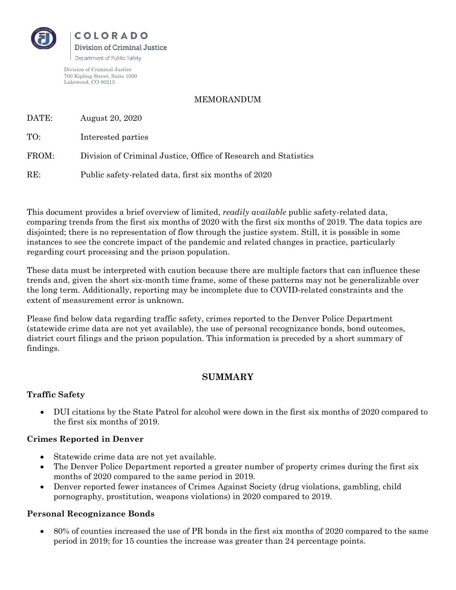

Division of Criminal Justice 700 Kipling Street, Suite 1000 Lakewood, CO 80215

#### MEMORANDUM

DATE: August 20, 2020

TO: Interested parties

FROM: Division of Criminal Justice, Office of Research and Statistics

RE: Public safety-related data, first six months of 2020

This document provides a brief overview of limited, *readily available* public safety-related data, comparing trends from the first six months of 2020 with the first six months of 2019. The data topics are disjointed; there is no representation of flow through the justice system. Still, it is possible in some instances to see the concrete impact of the pandemic and related changes in practice, particularly regarding court processing and the prison population.

These data must be interpreted with caution because there are multiple factors that can influence these trends and, given the short six-month time frame, some of these patterns may not be generalizable over the long term. Additionally, reporting may be incomplete due to COVID-related constraints and the extent of measurement error is unknown.

Please find below data regarding traffic safety, crimes reported to the Denver Police Department (statewide crime data are not yet available), the use of personal recognizance bonds, bond outcomes, district court filings and the prison population. This information is preceded by a short summary of findings.

# **SUMMARY**

# **Traffic Safety**

• DUI citations by the State Patrol for alcohol were down in the first six months of 2020 compared to the first six months of 2019.

# **Crimes Reported in Denver**

- Statewide crime data are not yet available.
- The Denver Police Department reported a greater number of property crimes during the first six months of 2020 compared to the same period in 2019.
- Denver reported fewer instances of Crimes Against Society (drug violations, gambling, child pornography, prostitution, weapons violations) in 2020 compared to 2019.

# **Personal Recognizance Bonds**

• 80% of counties increased the use of PR bonds in the first six months of 2020 compared to the same period in 2019; for 15 counties the increase was greater than 24 percentage points.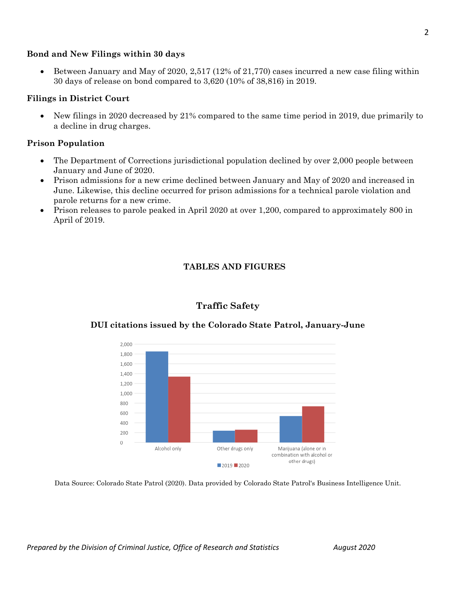#### **Bond and New Filings within 30 days**

• Between January and May of 2020, 2,517 (12% of 21,770) cases incurred a new case filing within 30 days of release on bond compared to 3,620 (10% of 38,816) in 2019.

#### **Filings in District Court**

• New filings in 2020 decreased by 21% compared to the same time period in 2019, due primarily to a decline in drug charges.

### **Prison Population**

- The Department of Corrections jurisdictional population declined by over 2,000 people between January and June of 2020.
- Prison admissions for a new crime declined between January and May of 2020 and increased in June. Likewise, this decline occurred for prison admissions for a technical parole violation and parole returns for a new crime.
- Prison releases to parole peaked in April 2020 at over 1,200, compared to approximately 800 in April of 2019.

# **TABLES AND FIGURES**



# **DUI citations issued by the Colorado State Patrol, January-June**

**Traffic Safety**

Data Source: Colorado State Patrol (2020). Data provided by Colorado State Patrol's Business Intelligence Unit.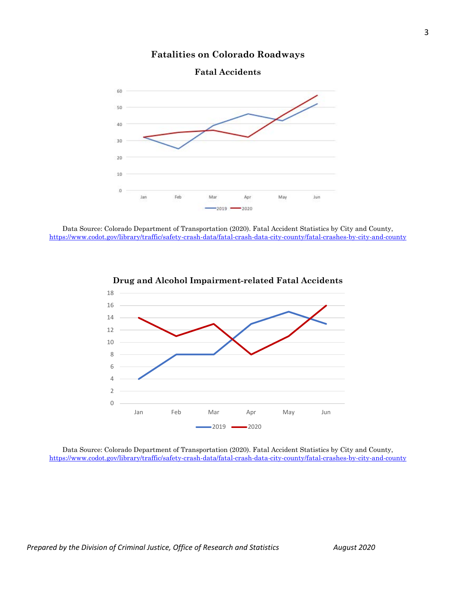

# **Fatalities on Colorado Roadways**

**Fatal Accidents**



Data Source: Colorado Department of Transportation (2020). Fatal Accident Statistics by City and County, <https://www.codot.gov/library/traffic/safety-crash-data/fatal-crash-data-city-county/fatal-crashes-by-city-and-county>



# **Drug and Alcohol Impairment-related Fatal Accidents**

Data Source: Colorado Department of Transportation (2020). Fatal Accident Statistics by City and County, <https://www.codot.gov/library/traffic/safety-crash-data/fatal-crash-data-city-county/fatal-crashes-by-city-and-county>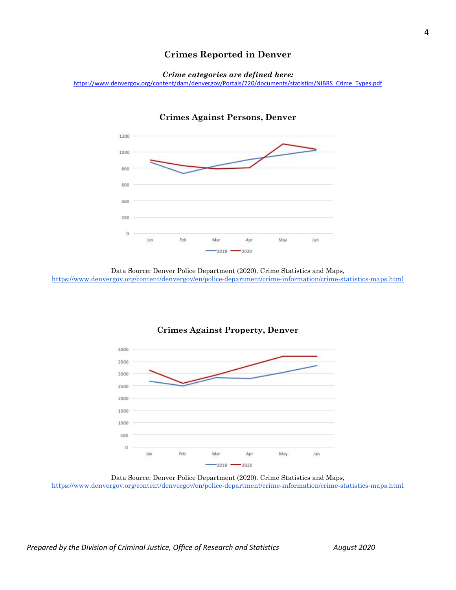# **Crimes Reported in Denver**





#### **Crimes Against Persons, Denver**

Data Source: Denver Police Department (2020). Crime Statistics and Maps, <https://www.denvergov.org/content/denvergov/en/police-department/crime-information/crime-statistics-maps.html>



#### **Crimes Against Property, Denver**

Data Source: Denver Police Department (2020). Crime Statistics and Maps, <https://www.denvergov.org/content/denvergov/en/police-department/crime-information/crime-statistics-maps.html>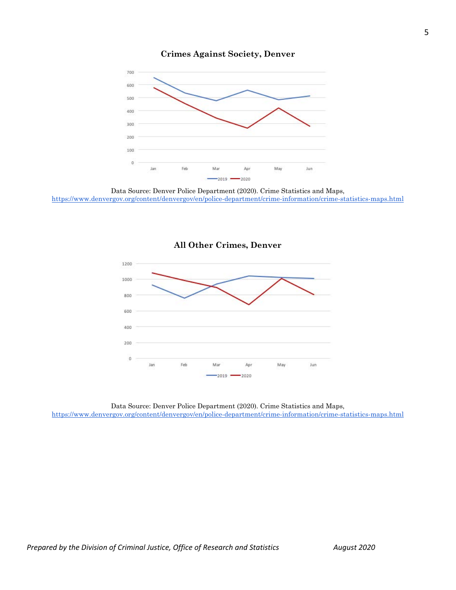

### **Crimes Against Society, Denver**



# **All Other Crimes, Denver**

Data Source: Denver Police Department (2020). Crime Statistics and Maps, <https://www.denvergov.org/content/denvergov/en/police-department/crime-information/crime-statistics-maps.html>

Data Source: Denver Police Department (2020). Crime Statistics and Maps, https://www.denvergov.org/content/denvergov/en/police-department/crime-information/crime-statistics-maps.html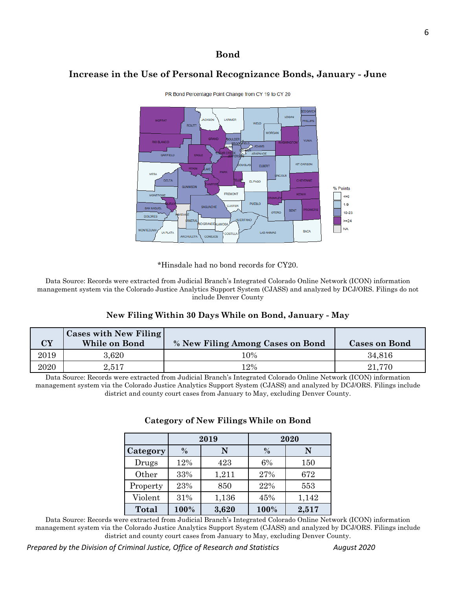# **Bond**

# **Increase in the Use of Personal Recognizance Bonds, January - June**



PR Bond Percentage Point Change from CY 19 to CY 20

\*Hinsdale had no bond records for CY20.

Data Source: Records were extracted from Judicial Branch's Integrated Colorado Online Network (ICON) information management system via the Colorado Justice Analytics Support System (CJASS) and analyzed by DCJ/ORS. Filings do not include Denver County

# **New Filing Within 30 Days While on Bond, January - May**

| $\overline{\mathbf{C}}\mathbf{Y}$ | Cases with New Filing<br>While on Bond | % New Filing Among Cases on Bond | <b>Cases on Bond</b> |
|-----------------------------------|----------------------------------------|----------------------------------|----------------------|
| 2019                              | $3.620\,$                              | 10%                              | 34.816               |
| $2020\,$                          | 2.517                                  | 12%                              | 21.770               |

Data Source: Records were extracted from Judicial Branch's Integrated Colorado Online Network (ICON) information management system via the Colorado Justice Analytics Support System (CJASS) and analyzed by DCJ/ORS. Filings include district and county court cases from January to May, excluding Denver County.

|          | 2019 |       | 2020 |       |
|----------|------|-------|------|-------|
| Category | $\%$ | N     | $\%$ | N     |
| Drugs    | 12%  | 423   | 6%   | 150   |
| Other    | 33%  | 1,211 | 27%  | 672   |
| Property | 23%  | 850   | 22%  | 553   |
| Violent  | 31%  | 1,136 | 45%  | 1,142 |
| Total    | 100% | 3,620 | 100% | 2,517 |

#### **Category of New Filings While on Bond**

Data Source: Records were extracted from Judicial Branch's Integrated Colorado Online Network (ICON) information management system via the Colorado Justice Analytics Support System (CJASS) and analyzed by DCJ/ORS. Filings include district and county court cases from January to May, excluding Denver County.

*Prepared by the Division of Criminal Justice, Office of Research and Statistics* August 2020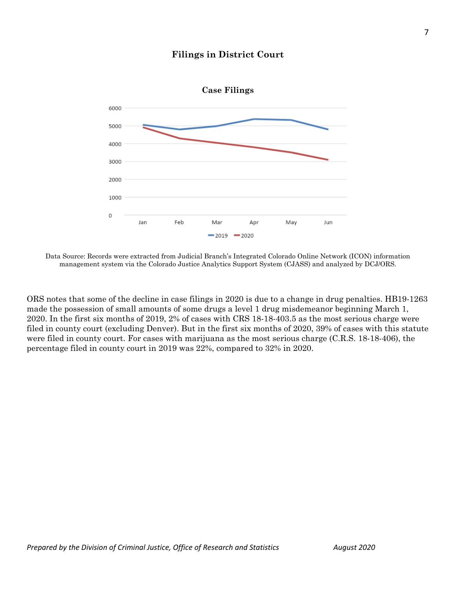



Data Source: Records were extracted from Judicial Branch's Integrated Colorado Online Network (ICON) information management system via the Colorado Justice Analytics Support System (CJASS) and analyzed by DCJ/ORS.

ORS notes that some of the decline in case filings in 2020 is due to a change in drug penalties. HB19-1263 made the possession of small amounts of some drugs a level 1 drug misdemeanor beginning March 1, 2020. In the first six months of 2019, 2% of cases with CRS 18-18-403.5 as the most serious charge were filed in county court (excluding Denver). But in the first six months of 2020, 39% of cases with this statute were filed in county court. For cases with marijuana as the most serious charge (C.R.S. 18-18-406), the percentage filed in county court in 2019 was 22%, compared to 32% in 2020.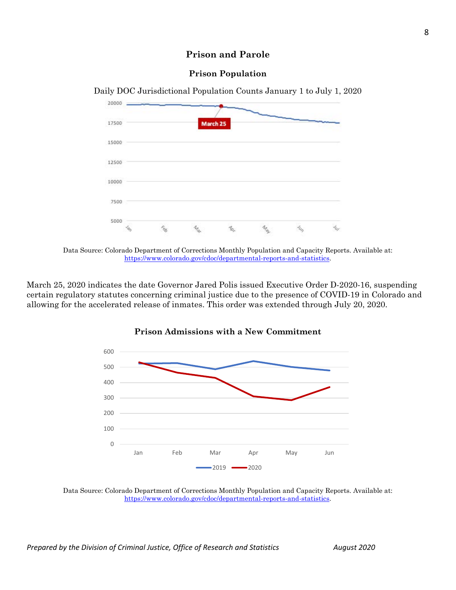# **Prison and Parole**

# **Prison Population**



Daily DOC Jurisdictional Population Counts January 1 to July 1, 2020

March 25, 2020 indicates the date Governor Jared Polis issued Executive Order D-2020-16, suspending certain regulatory statutes concerning criminal justice due to the presence of COVID-19 in Colorado and allowing for the accelerated release of inmates. This order was extended through July 20, 2020.





Data Source: Colorado Department of Corrections Monthly Population and Capacity Reports. Available at: [https://www.colorado.gov/cdoc/departmental-reports-and-statistics.](https://www.colorado.gov/cdoc/departmental-reports-and-statistics)

Data Source: Colorado Department of Corrections Monthly Population and Capacity Reports. Available at: [https://www.colorado.gov/cdoc/departmental-reports-and-statistics.](https://www.colorado.gov/cdoc/departmental-reports-and-statistics)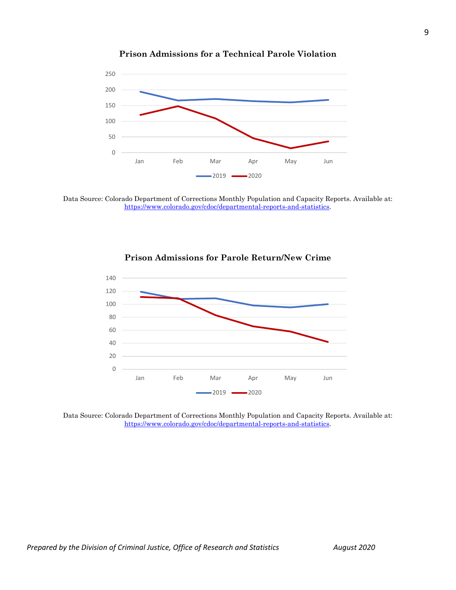

### **Prison Admissions for a Technical Parole Violation**

Data Source: Colorado Department of Corrections Monthly Population and Capacity Reports. Available at: [https://www.colorado.gov/cdoc/departmental-reports-and-statistics.](https://www.colorado.gov/cdoc/departmental-reports-and-statistics)



### **Prison Admissions for Parole Return/New Crime**

Data Source: Colorado Department of Corrections Monthly Population and Capacity Reports. Available at: [https://www.colorado.gov/cdoc/departmental-reports-and-statistics.](https://www.colorado.gov/cdoc/departmental-reports-and-statistics)